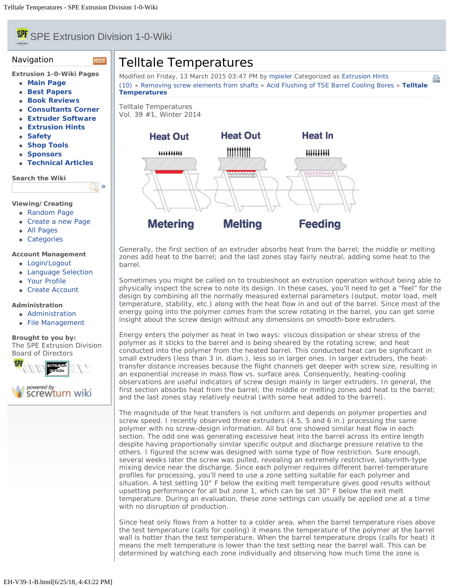# <span id="page-0-0"></span>**SPE** SPE Extrusion Division 1-0-Wiki

**RSS** 

[»](#page-0-0)

#### Navigation

**Extrusion 1-0-Wiki Pages**

- **[Main Page](file:///Users/spe/websites/Extrusion%20Hints/extrusionwiki.com/wiki/MainPage.html)**
- **[Best Papers](file:///Users/spe/websites/Extrusion%20Hints/extrusionwiki.com/wiki/BestPapers.html)**
- **[Book Reviews](file:///Users/spe/websites/Extrusion%20Hints/extrusionwiki.com/wiki/BookReviews.html)**
- **[Consultants Corner](file:///Users/spe/websites/Extrusion%20Hints/extrusionwiki.com/wiki/ConsultantsCorner.html)**
- **[Extruder Software](file:///Users/spe/websites/Extrusion%20Hints/extrusionwiki.com/wiki/ExtruderSoftware.html)**
- **[Extrusion Hints](file:///Users/spe/websites/Extrusion%20Hints/extrusionwiki.com/wiki/ExtrusionHints.html)**
- **[Safety](file:///Users/spe/websites/Extrusion%20Hints/extrusionwiki.com/wiki/Safety.html)**
- **[Shop Tools](file:///Users/spe/websites/Extrusion%20Hints/extrusionwiki.com/wiki/ShopTools.html)**
- **[Sponsors](file:///Users/spe/websites/Extrusion%20Hints/extrusionwiki.com/wiki/SponsorsMain.html)**
- **[Technical Articles](file:///Users/spe/websites/Extrusion%20Hints/extrusionwiki.com/wiki/POTM.html)**

**Search the Wiki**

#### **Viewing/Creating**

- [Random Page](file:///Users/spe/websites/Extrusion%20Hints/extrusionwiki.com/wiki/EH-V22-2-G.html)
- [Create a new Page](file:///Users/spe/websites/Extrusion%20Hints/extrusionwiki.com/wiki/Login1c96.html)
- [All Pages](file:///Users/spe/websites/Extrusion%20Hints/extrusionwiki.com/wiki/AllPages.html)
- [Categories](file:///Users/spe/websites/Extrusion%20Hints/extrusionwiki.com/wiki/Category.html)

#### **Account Management**

- [Login/Logout](file:///Users/spe/websites/Extrusion%20Hints/extrusionwiki.com/wiki/Login.html)
- [Language Selection](file:///Users/spe/websites/Extrusion%20Hints/extrusionwiki.com/wiki/Language.html)
- [Your Profile](file:///Users/spe/websites/Extrusion%20Hints/extrusionwiki.com/wiki/Login4c84.html)
- [Create Account](file:///Users/spe/websites/Extrusion%20Hints/extrusionwiki.com/wiki/Register.html)

### **Administration**

- [Administration](file:///Users/spe/websites/Extrusion%20Hints/extrusionwiki.com/wiki/Login2fcc.html)
- [File Management](file:///Users/spe/websites/Extrusion%20Hints/extrusionwiki.com/wiki/Upload.html)

**Brought to you by:** The SPE Extrusion Division [Board of Directors](file:///Users/spe/websites/Extrusion%20Hints/extrusion.4spe.org/index.html)



## Telltale Temperatures

Modified on Friday, 13 March 2015 03:47 PM by [mpieler](file:///Users/spe/websites/Extrusion%20Hints/extrusionwiki.com/wiki/User67ec.html?Username=mpieler) Categorized as [Extrusion Hints](file:///Users/spe/websites/Extrusion%20Hints/extrusionwiki.com/wiki/AllPages019f.html?Cat=Extrusion%20Hints) [\(10\)](#page-0-0) » [Removing screw elements from shafts](file:///Users/spe/websites/Extrusion%20Hints/extrusionwiki.com/wiki/EH-V38-3-C.html) » [Acid Flushing of TSE Barrel Cooling Bores](file:///Users/spe/websites/Extrusion%20Hints/extrusionwiki.com/wiki/EH-V39-1-A.html) » **[Telltale](#page-0-0) [Temperatures](#page-0-0)**

A

Telltale Temperatures Vol. 39 #1, Winter 2014



Generally, the first section of an extruder absorbs heat from the barrel; the middle or melting zones add heat to the barrel; and the last zones stay fairly neutral, adding some heat to the barrel.

Sometimes you might be called on to troubleshoot an extrusion operation without being able to physically inspect the screw to note its design. In these cases, you'll need to get a "feel" for the design by combining all the normally measured external parameters (output, motor load, melt temperature, stability, etc.) along with the heat flow in and out of the barrel. Since most of the energy going into the polymer comes from the screw rotating in the barrel, you can get some insight about the screw design without any dimensions on smooth-bore extruders.

Energy enters the polymer as heat in two ways: viscous dissipation or shear stress of the polymer as it sticks to the barrel and is being sheared by the rotating screw; and heat conducted into the polymer from the heated barrel. This conducted heat can be significant in small extruders (less than 3 in. diam.), less so in larger ones. In larger extruders, the heattransfer distance increases because the flight channels get deeper with screw size, resulting in an exponential increase in mass flow vs. surface area. Consequently, heating-cooling observations are useful indicators of screw design mainly in larger extruders. In general, the first section absorbs heat from the barrel; the middle or melting zones add heat to the barrel; and the last zones stay relatively neutral (with some heat added to the barrel).

The magnitude of the heat transfers is not uniform and depends on polymer properties and screw speed. I recently observed three extruders (4.5, 5 and 6 in.) processing the same polymer with no screw-design information. All but one showed similar heat flow in each section. The odd one was generating excessive heat into the barrel across its entire length despite having proportionally similar specific output and discharge pressure relative to the others. I figured the screw was designed with some type of flow restriction. Sure enough, several weeks later the screw was pulled, revealing an extremely restrictive, labyrinth-type mixing device near the discharge. Since each polymer requires different barrel-temperature profiles for processing, you'll need to use a zone setting suitable for each polymer and situation. A test setting 10° F below the exiting melt temperature gives good results without upsetting performance for all but zone 1, which can be set 30° F below the exit melt temperature. During an evaluation, these zone settings can usually be applied one at a time with no disruption of production.

Since heat only flows from a hotter to a colder area, when the barrel temperature rises above the test temperature (calls for cooling) it means the temperature of the polymer at the barrel wall is hotter than the test temperature. When the barrel temperature drops (calls for heat) it means the melt temperature is lower than the test setting near the barrel wall. This can be determined by watching each zone individually and observing how much time the zone is